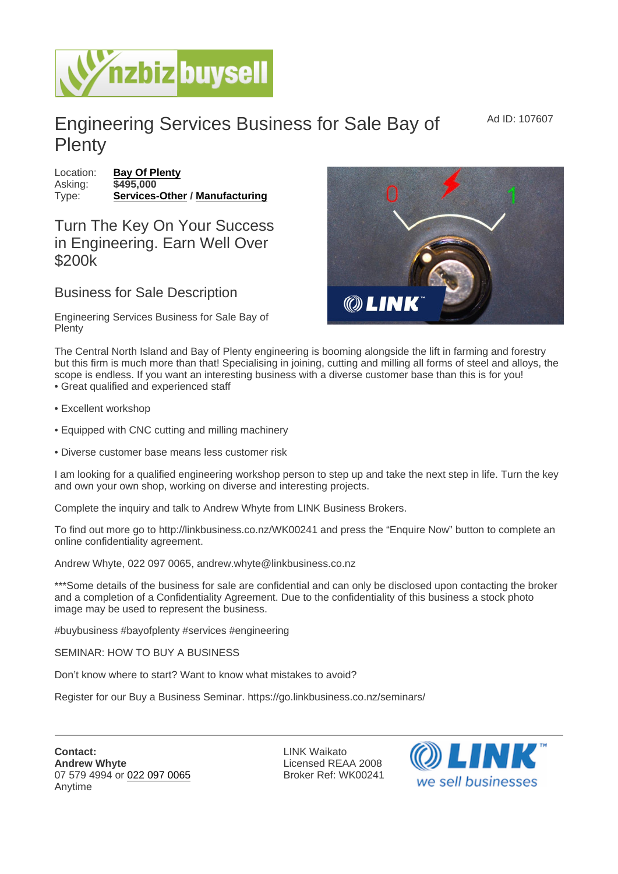Ad ID: 107607

## Engineering Services Business for Sale Bay of **Plenty**

Location: [Bay Of Plenty](https://www.nzbizbuysell.co.nz/businesses-for-sale/location/Bay-Of-Plenty) Asking: \$495,000 Type: [Services-Other](https://www.nzbizbuysell.co.nz/businesses-for-sale/Services/New-Zealand) / [Manufacturing](https://www.nzbizbuysell.co.nz/businesses-for-sale/Manufacturing/New-Zealand)

Turn The Key On Your Success in Engineering. Earn Well Over \$200k

Business for Sale Description

Engineering Services Business for Sale Bay of Plenty

The Central North Island and Bay of Plenty engineering is booming alongside the lift in farming and forestry but this firm is much more than that! Specialising in joining, cutting and milling all forms of steel and alloys, the scope is endless. If you want an interesting business with a diverse customer base than this is for you! • Great qualified and experienced staff

- Excellent workshop
- Equipped with CNC cutting and milling machinery
- Diverse customer base means less customer risk

I am looking for a qualified engineering workshop person to step up and take the next step in life. Turn the key and own your own shop, working on diverse and interesting projects.

Complete the inquiry and talk to Andrew Whyte from LINK Business Brokers.

To find out more go to http://linkbusiness.co.nz/WK00241 and press the "Enquire Now" button to complete an online confidentiality agreement.

Andrew Whyte, 022 097 0065, andrew.whyte@linkbusiness.co.nz

\*\*\*Some details of the business for sale are confidential and can only be disclosed upon contacting the broker and a completion of a Confidentiality Agreement. Due to the confidentiality of this business a stock photo image may be used to represent the business.

#buybusiness #bayofplenty #services #engineering

SEMINAR: HOW TO BUY A BUSINESS

Don't know where to start? Want to know what mistakes to avoid?

Register for our Buy a Business Seminar. https://go.linkbusiness.co.nz/seminars/

Contact: Andrew Whyte 07 579 4994 or [022 097 0065](tel:022 097 0065) Anytime

LINK Waikato Licensed REAA 2008 Broker Ref: WK00241